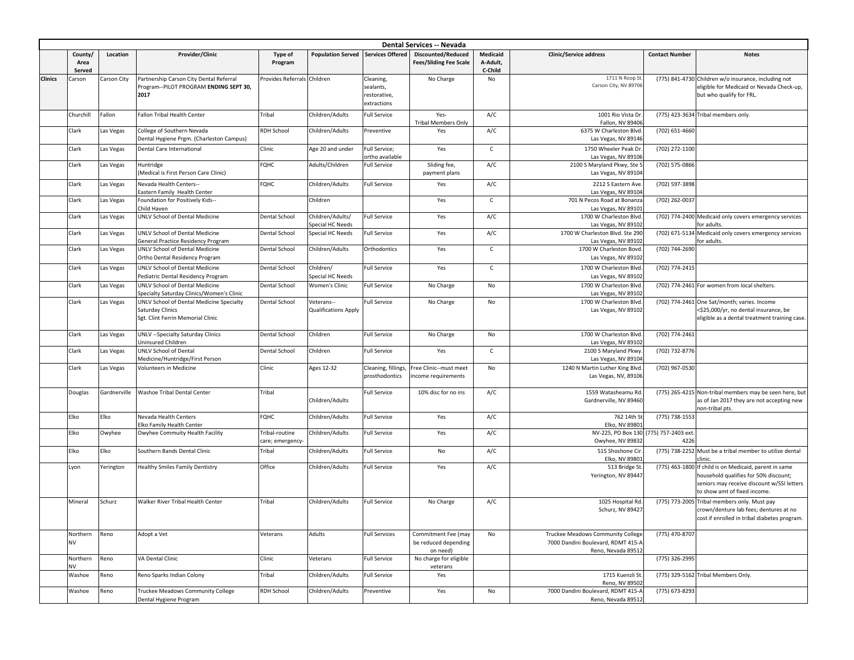| <b>Dental Services -- Nevada</b> |                       |              |                                                                                    |                             |                                      |                                        |                                             |              |                                                                         |                       |                                                                                                   |
|----------------------------------|-----------------------|--------------|------------------------------------------------------------------------------------|-----------------------------|--------------------------------------|----------------------------------------|---------------------------------------------|--------------|-------------------------------------------------------------------------|-----------------------|---------------------------------------------------------------------------------------------------|
|                                  | County/               | Location     | Provider/Clinic                                                                    | <b>Type of</b>              | <b>Population Served</b>             | <b>Services Offered</b>                | <b>Discounted/Reduced</b>                   | Medicaid     | <b>Clinic/Service address</b>                                           | <b>Contact Number</b> | <b>Notes</b>                                                                                      |
|                                  | Area                  |              |                                                                                    | Program                     |                                      |                                        | <b>Fees/Sliding Fee Scale</b>               | A-Adult,     |                                                                         |                       |                                                                                                   |
|                                  | Served                |              |                                                                                    |                             |                                      |                                        |                                             | C-Child      | 1711 N Roop St                                                          |                       |                                                                                                   |
| <b>Clinics</b>                   | Carson                | Carson City  | Partnership Carson City Dental Referral<br>Program--PILOT PROGRAM ENDING SEPT 30,  | Provides Referrals Children |                                      | Cleaning,<br>sealants,                 | No Charge                                   | No           | Carson City, NV 89706                                                   |                       | (775) 841-4730 Children w/o insurance, including not<br>eligible for Medicaid or Nevada Check-up, |
|                                  |                       |              | 2017                                                                               |                             |                                      | restorative,                           |                                             |              |                                                                         |                       | but who qualify for FRL.                                                                          |
|                                  |                       |              |                                                                                    |                             |                                      | extractions                            |                                             |              |                                                                         |                       |                                                                                                   |
|                                  | Churchill             | Fallon       | Fallon Tribal Health Center                                                        | Tribal                      | Children/Adults                      | <b>Full Service</b>                    | Yes-                                        | A/C          | 1001 Rio Vista Dr.                                                      |                       | (775) 423-3634 Tribal members only                                                                |
|                                  |                       |              |                                                                                    |                             |                                      |                                        | <b>Tribal Members Only</b>                  |              | Fallon, NV 89406                                                        |                       |                                                                                                   |
|                                  | Clark                 | Las Vegas    | College of Southern Nevada                                                         | RDH School                  | Children/Adults                      | Preventive                             | Yes                                         | A/C          | 6375 W Charleston Blvd.                                                 | (702) 651-4660        |                                                                                                   |
|                                  |                       |              | Dental Hygiene Prgm. (Charleston Campus)                                           |                             |                                      |                                        |                                             |              | Las Vegas, NV 89146                                                     |                       |                                                                                                   |
|                                  | Clark                 | Las Vegas    | Dental Care International                                                          | Clinic                      | Age 20 and under                     | Full Service;                          | Yes                                         | $\mathsf{C}$ | 1750 Wheeler Peak Dr.                                                   | (702) 272-1100        |                                                                                                   |
|                                  | Clark                 | Las Vegas    | Huntridge                                                                          | FQHC                        | Adults/Children                      | ortho available<br><b>Full Service</b> | Sliding fee,                                | A/C          | Las Vegas, NV 89106<br>2100 S Maryland Pkwy, Ste 5                      | (702) 575-0866        |                                                                                                   |
|                                  |                       |              | (Medical is First Person Care Clinic)                                              |                             |                                      |                                        | payment plans                               |              | Las Vegas, NV 89104                                                     |                       |                                                                                                   |
|                                  | Clark                 | Las Vegas    | Nevada Health Centers--                                                            | FQHC                        | Children/Adults                      | <b>Full Service</b>                    | Yes                                         | A/C          | 2212 S Eastern Ave.                                                     | (702) 597-3898        |                                                                                                   |
|                                  |                       |              | Eastern Family Health Center                                                       |                             |                                      |                                        |                                             |              | Las Vegas, NV 89104                                                     |                       |                                                                                                   |
|                                  | Clark                 | Las Vegas    | Foundation for Positively Kids--                                                   |                             | Children                             |                                        | Yes                                         | $\mathsf{C}$ | 701 N Pecos Road at Bonanza                                             | (702) 262-0037        |                                                                                                   |
|                                  |                       |              | Child Haven                                                                        |                             |                                      |                                        |                                             |              | Las Vegas, NV 8910:                                                     |                       |                                                                                                   |
|                                  | Clark                 | Las Vegas    | UNLV School of Dental Medicine                                                     | <b>Dental School</b>        | Children/Adults/                     | <b>Full Service</b>                    | Yes                                         | A/C          | 1700 W Charleston Blvd.                                                 |                       | (702) 774-2400 Medicaid only covers emergency services                                            |
|                                  | Clark                 | Las Vegas    | UNLV School of Dental Medicine                                                     | Dental School               | Special HC Needs<br>Special HC Needs | <b>Full Service</b>                    | Yes                                         | A/C          | Las Vegas, NV 89102<br>1700 W Charleston Blvd. Ste 290                  |                       | or adults.<br>(702) 671-5134 Medicaid only covers emergency services                              |
|                                  |                       |              | General Practice Residency Program                                                 |                             |                                      |                                        |                                             |              | Las Vegas, NV 89102                                                     |                       | or adults.                                                                                        |
|                                  | Clark                 | Las Vegas    | <b>UNLV School of Dental Medicine</b>                                              | Dental School               | Children/Adults                      | Orthodontics                           | Yes                                         | C            | 1700 W Charleston Bovd.                                                 | (702) 744-2690        |                                                                                                   |
|                                  |                       |              | Ortho Dental Residency Program                                                     |                             |                                      |                                        |                                             |              | Las Vegas, NV 89102                                                     |                       |                                                                                                   |
|                                  | Clark                 | Las Vegas    | UNLV School of Dental Medicine                                                     | <b>Dental School</b>        | Children/                            | <b>Full Service</b>                    | Yes                                         | $\mathsf{C}$ | 1700 W Charleston Blvd.                                                 | (702) 774-2415        |                                                                                                   |
|                                  |                       |              | Pediatric Dental Residency Program                                                 |                             | Special HC Needs                     |                                        |                                             |              | Las Vegas, NV 89102                                                     |                       |                                                                                                   |
|                                  | Clark                 | Las Vegas    | <b>UNLV School of Dental Medicine</b><br>Specialty Saturday Clinics/Women's Clinic | <b>Dental School</b>        | <b>Women's Clinic</b>                | <b>Full Service</b>                    | No Charge                                   | No           | 1700 W Charleston Blvd.                                                 |                       | (702) 774-2461 For women from local shelters.                                                     |
|                                  | Clark                 | Las Vegas    | UNLV School of Dental Medicine Specialty                                           | <b>Dental School</b>        | Veterans--                           | <b>Full Service</b>                    | No Charge                                   | No           | Las Vegas, NV 89102<br>1700 W Charleston Blvd.                          |                       | (702) 774-2461 One Sat/month; varies. Income                                                      |
|                                  |                       |              | Saturday Clinics                                                                   |                             | <b>Qualifications Apply</b>          |                                        |                                             |              | Las Vegas, NV 89102                                                     |                       | \$25,000/yr, no dental insurance, be                                                              |
|                                  |                       |              | Sgt. Clint Ferrin Memorial Clinic                                                  |                             |                                      |                                        |                                             |              |                                                                         |                       | eligible as a dental treatment training case.                                                     |
|                                  |                       |              |                                                                                    |                             |                                      |                                        |                                             |              |                                                                         |                       |                                                                                                   |
|                                  | Clark                 | Las Vegas    | UNLV --Specialty Saturday Clinics<br>Uninsured Children                            | <b>Dental School</b>        | Children                             | <b>Full Service</b>                    | No Charge                                   | No           | 1700 W Charleston Blvd.<br>Las Vegas, NV 89102                          | (702) 774-2461        |                                                                                                   |
|                                  | Clark                 | Las Vegas    | UNLV School of Dental                                                              | <b>Dental School</b>        | Children                             | <b>Full Service</b>                    | Yes                                         | $\mathsf{C}$ | 2100 S Maryland Pkwy.                                                   | (702) 732-8776        |                                                                                                   |
|                                  |                       |              | Medicine/Huntridge/First Person                                                    |                             |                                      |                                        |                                             |              | Las Vegas, NV 89104                                                     |                       |                                                                                                   |
|                                  | Clark                 | Las Vegas    | Volunteers in Medicine                                                             | Clinic                      | Ages 12-32                           | Cleaning, fillings,                    | ree Clinic--must meet                       | No           | 1240 N Martin Luther King Blvd.                                         | (702) 967-0530        |                                                                                                   |
|                                  |                       |              |                                                                                    |                             |                                      | prosthodontics                         | ncome requirements                          |              | Las Vegas, NV, 89106                                                    |                       |                                                                                                   |
|                                  | Douglas               | Gardnerville | Washoe Tribal Dental Center                                                        | Tribal                      |                                      | <b>Full Service</b>                    | 10% disc for no ins                         | A/C          | 1559 Watasheamu Rd                                                      |                       | (775) 265-4215 Non-tribal members may be seen here, but                                           |
|                                  |                       |              |                                                                                    |                             | Children/Adults                      |                                        |                                             |              | Gardnerville, NV 89460                                                  |                       | as of Jan 2017 they are not accepting new                                                         |
|                                  |                       |              |                                                                                    |                             |                                      |                                        |                                             |              |                                                                         |                       | non-tribal pts.                                                                                   |
|                                  | Elko                  | Elko         | Nevada Health Centers                                                              | <b>FQHC</b>                 | Children/Adults                      | <b>Full Service</b>                    | Yes                                         | A/C          | 762 14th St                                                             | (775) 738-1553        |                                                                                                   |
|                                  | Elko                  | Owyhee       | Elko Family Health Center<br>Owyhee Commuity Health Facility                       | Tribal-routine              | Children/Adults                      | <b>Full Service</b>                    | Yes                                         | A/C          | Elko, NV 89801<br>NV-225, PO Box 130 (775) 757-2403 ext.                |                       |                                                                                                   |
|                                  |                       |              |                                                                                    | care; emergency-            |                                      |                                        |                                             |              | Owyhee, NV 89832                                                        | 4226                  |                                                                                                   |
|                                  | Elko                  | Elko         | Southern Bands Dental Clinic                                                       | Tribal                      | Children/Adults                      | <b>Full Service</b>                    | No                                          | A/C          | 515 Shoshone Cir.                                                       |                       | (775) 738-2252 Must be a tribal member to utilize dental                                          |
|                                  |                       |              |                                                                                    |                             |                                      |                                        |                                             |              | Elko, NV 89801                                                          |                       | linic.                                                                                            |
|                                  | Lyon                  | Yerington    | <b>Healthy Smiles Family Dentistry</b>                                             | Office                      | Children/Adults                      | <b>Full Service</b>                    | Yes                                         | A/C          | 513 Bridge St.                                                          |                       | (775) 463-1800 If child is on Medicaid, parent in same                                            |
|                                  |                       |              |                                                                                    |                             |                                      |                                        |                                             |              | Yerington, NV 89447                                                     |                       | household qualifies for 50% discount;                                                             |
|                                  |                       |              |                                                                                    |                             |                                      |                                        |                                             |              |                                                                         |                       | seniors may receive discount w/SSI letters<br>to show amt of fixed income.                        |
|                                  | Mineral               | Schurz       | Walker River Tribal Health Center                                                  | Tribal                      | Children/Adults                      | <b>Full Service</b>                    | No Charge                                   | A/C          | 1025 Hospital Rd                                                        |                       | (775) 773-2005 Tribal members only. Must pay                                                      |
|                                  |                       |              |                                                                                    |                             |                                      |                                        |                                             |              | Schurz, NV 89427                                                        |                       | crown/denture lab fees; dentures at no                                                            |
|                                  |                       |              |                                                                                    |                             |                                      |                                        |                                             |              |                                                                         |                       | cost if enrolled in tribal diabetes program.                                                      |
|                                  |                       |              |                                                                                    |                             |                                      |                                        |                                             |              |                                                                         | (775) 470-8707        |                                                                                                   |
|                                  | Northern<br><b>NV</b> | Reno         | Adopt a Vet                                                                        | Veterans                    | Adults                               | <b>Full Services</b>                   | Commitment Fee (may<br>be reduced depending | No           | Truckee Meadows Community College<br>7000 Dandini Boulevard, RDMT 415-A |                       |                                                                                                   |
|                                  |                       |              |                                                                                    |                             |                                      |                                        | on need)                                    |              | Reno, Nevada 89512                                                      |                       |                                                                                                   |
|                                  | Northern              | Reno         | VA Dental Clinic                                                                   | Clinic                      | Veterans                             | <b>Full Service</b>                    | No charge for eligible                      |              |                                                                         | (775) 326-2995        |                                                                                                   |
|                                  | <b>NV</b>             |              |                                                                                    |                             |                                      |                                        | veterans                                    |              |                                                                         |                       |                                                                                                   |
|                                  | Washoe                | Reno         | Reno Sparks Indian Colony                                                          | Tribal                      | Children/Adults                      | <b>Full Service</b>                    | Yes                                         |              | 1715 Kuenzli St.<br>Reno, NV 89502                                      |                       | (775) 329-5162 Tribal Members Only.                                                               |
|                                  | Washoe                | Reno         | Truckee Meadows Community College                                                  | <b>RDH School</b>           | Children/Adults                      | Preventive                             | Yes                                         | No           | 7000 Dandini Boulevard, RDMT 415-A                                      | (775) 673-8293        |                                                                                                   |
|                                  |                       |              | Dental Hygiene Program                                                             |                             |                                      |                                        |                                             |              | Reno, Nevada 89512                                                      |                       |                                                                                                   |